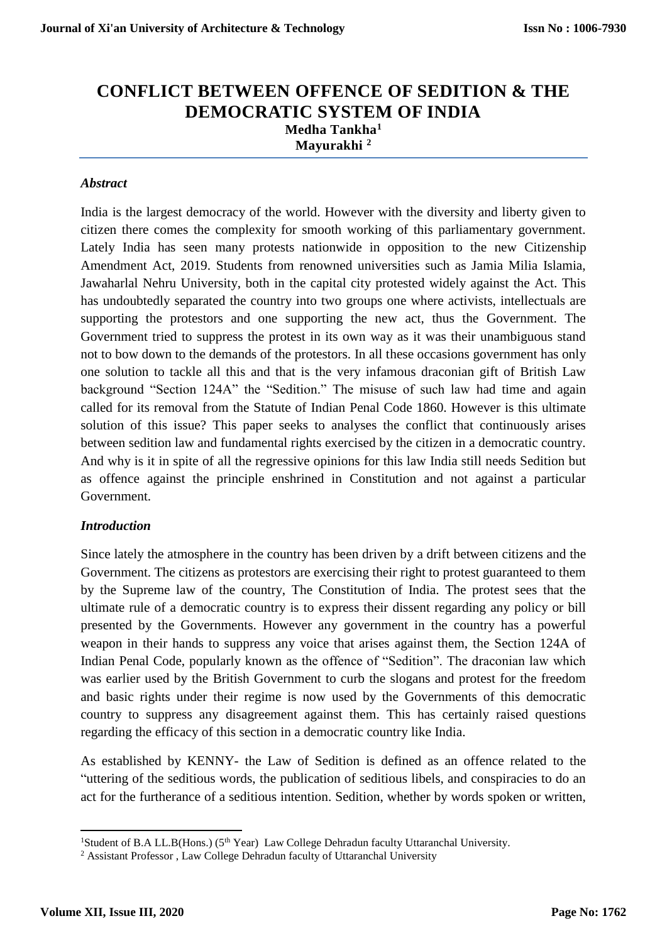# **CONFLICT BETWEEN OFFENCE OF SEDITION & THE DEMOCRATIC SYSTEM OF INDIA Medha Tankha<sup>1</sup> Mayurakhi <sup>2</sup>**

#### *Abstract*

India is the largest democracy of the world. However with the diversity and liberty given to citizen there comes the complexity for smooth working of this parliamentary government. Lately India has seen many protests nationwide in opposition to the new Citizenship Amendment Act, 2019. Students from renowned universities such as Jamia Milia Islamia, Jawaharlal Nehru University, both in the capital city protested widely against the Act. This has undoubtedly separated the country into two groups one where activists, intellectuals are supporting the protestors and one supporting the new act, thus the Government. The Government tried to suppress the protest in its own way as it was their unambiguous stand not to bow down to the demands of the protestors. In all these occasions government has only one solution to tackle all this and that is the very infamous draconian gift of British Law background "Section 124A" the "Sedition." The misuse of such law had time and again called for its removal from the Statute of Indian Penal Code 1860. However is this ultimate solution of this issue? This paper seeks to analyses the conflict that continuously arises between sedition law and fundamental rights exercised by the citizen in a democratic country. And why is it in spite of all the regressive opinions for this law India still needs Sedition but as offence against the principle enshrined in Constitution and not against a particular Government.

#### *Introduction*

Since lately the atmosphere in the country has been driven by a drift between citizens and the Government. The citizens as protestors are exercising their right to protest guaranteed to them by the Supreme law of the country, The Constitution of India. The protest sees that the ultimate rule of a democratic country is to express their dissent regarding any policy or bill presented by the Governments. However any government in the country has a powerful weapon in their hands to suppress any voice that arises against them, the Section 124A of Indian Penal Code, popularly known as the offence of "Sedition". The draconian law which was earlier used by the British Government to curb the slogans and protest for the freedom and basic rights under their regime is now used by the Governments of this democratic country to suppress any disagreement against them. This has certainly raised questions regarding the efficacy of this section in a democratic country like India.

As established by KENNY- the Law of Sedition is defined as an offence related to the "uttering of the seditious words, the publication of seditious libels, and conspiracies to do an act for the furtherance of a seditious intention. Sedition, whether by words spoken or written,

**<sup>.</sup>** <sup>1</sup>Student of B.A LL.B(Hons.) (5<sup>th</sup> Year) Law College Dehradun faculty Uttaranchal University.

<sup>&</sup>lt;sup>2</sup> Assistant Professor, Law College Dehradun faculty of Uttaranchal University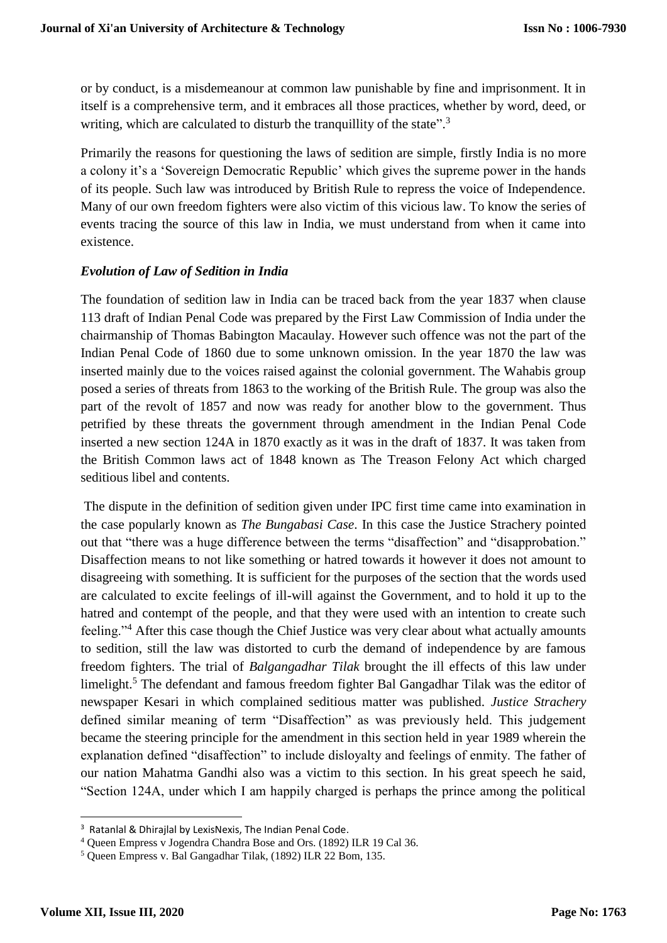or by conduct, is a misdemeanour at common law punishable by fine and imprisonment. It in itself is a comprehensive term, and it embraces all those practices, whether by word, deed, or writing, which are calculated to disturb the tranquillity of the state".<sup>3</sup>

Primarily the reasons for questioning the laws of sedition are simple, firstly India is no more a colony it's a 'Sovereign Democratic Republic' which gives the supreme power in the hands of its people. Such law was introduced by British Rule to repress the voice of Independence. Many of our own freedom fighters were also victim of this vicious law. To know the series of events tracing the source of this law in India, we must understand from when it came into existence.

### *Evolution of Law of Sedition in India*

The foundation of sedition law in India can be traced back from the year 1837 when clause 113 draft of Indian Penal Code was prepared by the First Law Commission of India under the chairmanship of Thomas Babington Macaulay. However such offence was not the part of the Indian Penal Code of 1860 due to some unknown omission. In the year 1870 the law was inserted mainly due to the voices raised against the colonial government. The Wahabis group posed a series of threats from 1863 to the working of the British Rule. The group was also the part of the revolt of 1857 and now was ready for another blow to the government. Thus petrified by these threats the government through amendment in the Indian Penal Code inserted a new section 124A in 1870 exactly as it was in the draft of 1837. It was taken from the British Common laws act of 1848 known as The Treason Felony Act which charged seditious libel and contents.

The dispute in the definition of sedition given under IPC first time came into examination in the case popularly known as *The Bungabasi Case*. In this case the Justice Strachery pointed out that "there was a huge difference between the terms "disaffection" and "disapprobation." Disaffection means to not like something or hatred towards it however it does not amount to disagreeing with something. It is sufficient for the purposes of the section that the words used are calculated to excite feelings of ill-will against the Government, and to hold it up to the hatred and contempt of the people, and that they were used with an intention to create such feeling."<sup>4</sup> After this case though the Chief Justice was very clear about what actually amounts to sedition, still the law was distorted to curb the demand of independence by are famous freedom fighters. The trial of *Balgangadhar Tilak* brought the ill effects of this law under limelight.<sup>5</sup> The defendant and famous freedom fighter Bal Gangadhar Tilak was the editor of newspaper Kesari in which complained seditious matter was published. *Justice Strachery* defined similar meaning of term "Disaffection" as was previously held. This judgement became the steering principle for the amendment in this section held in year 1989 wherein the explanation defined "disaffection" to include disloyalty and feelings of enmity. The father of our nation Mahatma Gandhi also was a victim to this section. In his great speech he said, "Section 124A, under which I am happily charged is perhaps the prince among the political

**.** 

<sup>&</sup>lt;sup>3</sup> Ratanlal & Dhirailal by LexisNexis, The Indian Penal Code.

<sup>4</sup> Queen Empress v Jogendra Chandra Bose and Ors. (1892) ILR 19 Cal 36.

<sup>5</sup> Queen Empress v. Bal Gangadhar Tilak, (1892) ILR 22 Bom, 135.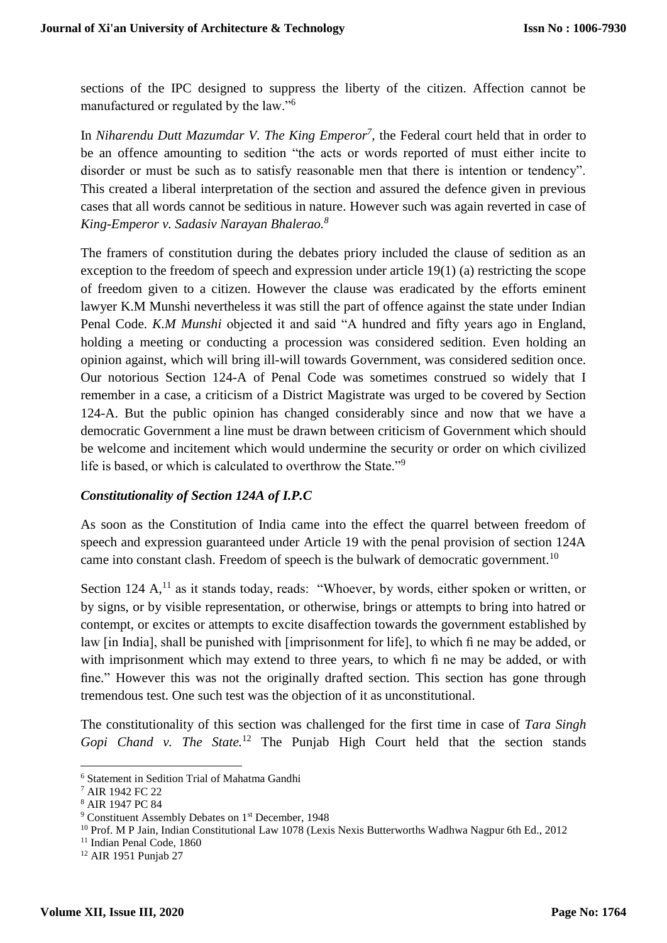sections of the IPC designed to suppress the liberty of the citizen. Affection cannot be manufactured or regulated by the law."<sup>6</sup>

In *Niharendu Dutt Mazumdar V. The King Emperor<sup>7</sup> ,* the Federal court held that in order to be an offence amounting to sedition "the acts or words reported of must either incite to disorder or must be such as to satisfy reasonable men that there is intention or tendency". This created a liberal interpretation of the section and assured the defence given in previous cases that all words cannot be seditious in nature. However such was again reverted in case of *King-Emperor v. Sadasiv Narayan Bhalerao.<sup>8</sup>*

The framers of constitution during the debates priory included the clause of sedition as an exception to the freedom of speech and expression under article 19(1) (a) restricting the scope of freedom given to a citizen. However the clause was eradicated by the efforts eminent lawyer K.M Munshi nevertheless it was still the part of offence against the state under Indian Penal Code. *K.M Munshi* objected it and said "A hundred and fifty years ago in England, holding a meeting or conducting a procession was considered sedition. Even holding an opinion against, which will bring ill-will towards Government, was considered sedition once. Our notorious Section 124-A of Penal Code was sometimes construed so widely that I remember in a case, a criticism of a District Magistrate was urged to be covered by Section 124-A. But the public opinion has changed considerably since and now that we have a democratic Government a line must be drawn between criticism of Government which should be welcome and incitement which would undermine the security or order on which civilized life is based, or which is calculated to overthrow the State."<sup>9</sup>

#### *Constitutionality of Section 124A of I.P.C*

As soon as the Constitution of India came into the effect the quarrel between freedom of speech and expression guaranteed under Article 19 with the penal provision of section 124A came into constant clash. Freedom of speech is the bulwark of democratic government.<sup>10</sup>

Section 124  $A$ ,<sup>11</sup> as it stands today, reads: "Whoever, by words, either spoken or written, or by signs, or by visible representation, or otherwise, brings or attempts to bring into hatred or contempt, or excites or attempts to excite disaffection towards the government established by law [in India], shall be punished with [imprisonment for life], to which fi ne may be added, or with imprisonment which may extend to three years, to which fi ne may be added, or with fine." However this was not the originally drafted section. This section has gone through tremendous test. One such test was the objection of it as unconstitutional.

The constitutionality of this section was challenged for the first time in case of *Tara Singh Gopi Chand v. The State.*<sup>12</sup> The Punjab High Court held that the section stands

**.** 

<sup>6</sup> Statement in Sedition Trial of Mahatma Gandhi

<sup>7</sup> AIR 1942 FC 22

<sup>8</sup> AIR 1947 PC 84

<sup>&</sup>lt;sup>9</sup> Constituent Assembly Debates on 1<sup>st</sup> December, 1948

<sup>10</sup> Prof. M P Jain, Indian Constitutional Law 1078 (Lexis Nexis Butterworths Wadhwa Nagpur 6th Ed., 2012

<sup>&</sup>lt;sup>11</sup> Indian Penal Code, 1860

<sup>12</sup> AIR 1951 Punjab 27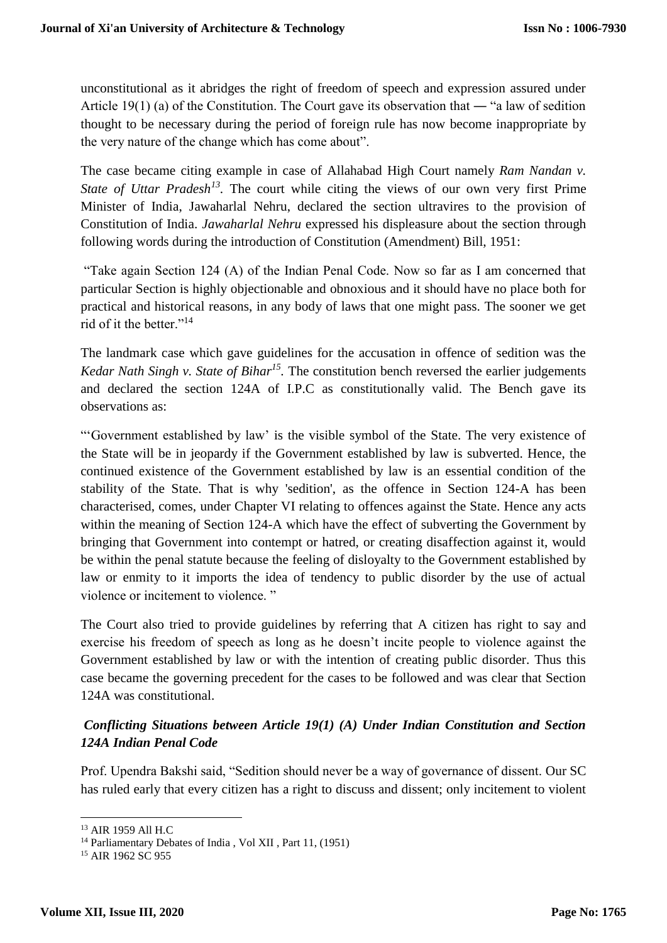unconstitutional as it abridges the right of freedom of speech and expression assured under Article 19(1) (a) of the Constitution. The Court gave its observation that — "a law of sedition thought to be necessary during the period of foreign rule has now become inappropriate by the very nature of the change which has come about".

The case became citing example in case of Allahabad High Court namely *Ram Nandan v. State of Uttar Pradesh<sup>13</sup>*. The court while citing the views of our own very first Prime Minister of India, Jawaharlal Nehru, declared the section ultravires to the provision of Constitution of India. *Jawaharlal Nehru* expressed his displeasure about the section through following words during the introduction of Constitution (Amendment) Bill, 1951:

"Take again Section 124 (A) of the Indian Penal Code. Now so far as I am concerned that particular Section is highly objectionable and obnoxious and it should have no place both for practical and historical reasons, in any body of laws that one might pass. The sooner we get rid of it the better."<sup>14</sup>

The landmark case which gave guidelines for the accusation in offence of sedition was the *Kedar Nath Singh v. State of Bihar<sup>15</sup> .* The constitution bench reversed the earlier judgements and declared the section 124A of I.P.C as constitutionally valid. The Bench gave its observations as:

"'Government established by law' is the visible symbol of the State. The very existence of the State will be in jeopardy if the Government established by law is subverted. Hence, the continued existence of the Government established by law is an essential condition of the stability of the State. That is why 'sedition', as the offence in Section 124-A has been characterised, comes, under Chapter VI relating to offences against the State. Hence any acts within the meaning of Section 124-A which have the effect of subverting the Government by bringing that Government into contempt or hatred, or creating disaffection against it, would be within the penal statute because the feeling of disloyalty to the Government established by law or enmity to it imports the idea of tendency to public disorder by the use of actual violence or incitement to violence. "

The Court also tried to provide guidelines by referring that A citizen has right to say and exercise his freedom of speech as long as he doesn't incite people to violence against the Government established by law or with the intention of creating public disorder. Thus this case became the governing precedent for the cases to be followed and was clear that Section 124A was constitutional.

# *Conflicting Situations between Article 19(1) (A) Under Indian Constitution and Section 124A Indian Penal Code*

Prof. Upendra Bakshi said, "Sedition should never be a way of governance of dissent. Our SC has ruled early that every citizen has a right to discuss and dissent; only incitement to violent

<sup>1</sup> <sup>13</sup> AIR 1959 All H.C

<sup>&</sup>lt;sup>14</sup> Parliamentary Debates of India, Vol XII, Part 11, (1951)

<sup>&</sup>lt;sup>15</sup> AIR 1962 SC 955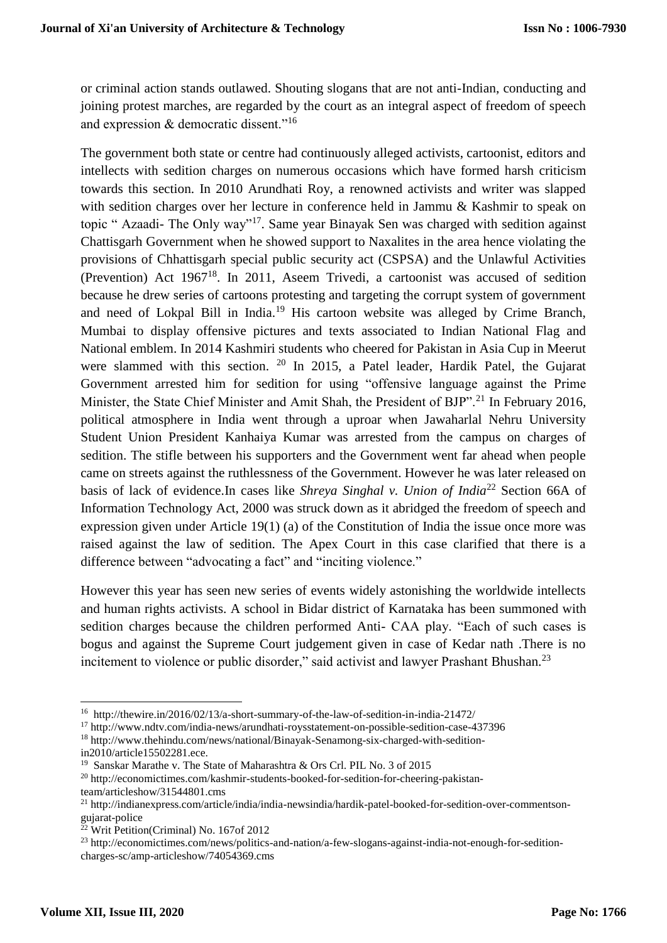or criminal action stands outlawed. Shouting slogans that are not anti-Indian, conducting and joining protest marches, are regarded by the court as an integral aspect of freedom of speech and expression & democratic dissent."<sup>16</sup>

The government both state or centre had continuously alleged activists, cartoonist, editors and intellects with sedition charges on numerous occasions which have formed harsh criticism towards this section. In 2010 Arundhati Roy, a renowned activists and writer was slapped with sedition charges over her lecture in conference held in Jammu & Kashmir to speak on topic " Azaadi- The Only way"<sup>17</sup>. Same year Binayak Sen was charged with sedition against Chattisgarh Government when he showed support to Naxalites in the area hence violating the provisions of Chhattisgarh special public security act (CSPSA) and the Unlawful Activities (Prevention) Act 1967<sup>18</sup>. In 2011, Aseem Trivedi, a cartoonist was accused of sedition because he drew series of cartoons protesting and targeting the corrupt system of government and need of Lokpal Bill in India.<sup>19</sup> His cartoon website was alleged by Crime Branch, Mumbai to display offensive pictures and texts associated to Indian National Flag and National emblem. In 2014 Kashmiri students who cheered for Pakistan in Asia Cup in Meerut were slammed with this section. <sup>20</sup> In 2015, a Patel leader, Hardik Patel, the Gujarat Government arrested him for sedition for using "offensive language against the Prime Minister, the State Chief Minister and Amit Shah, the President of BJP".<sup>21</sup> In February 2016. political atmosphere in India went through a uproar when Jawaharlal Nehru University Student Union President Kanhaiya Kumar was arrested from the campus on charges of sedition. The stifle between his supporters and the Government went far ahead when people came on streets against the ruthlessness of the Government. However he was later released on basis of lack of evidence.In cases like *Shreya Singhal v. Union of India*<sup>22</sup> Section 66A of Information Technology Act, 2000 was struck down as it abridged the freedom of speech and expression given under Article 19(1) (a) of the Constitution of India the issue once more was raised against the law of sedition. The Apex Court in this case clarified that there is a difference between "advocating a fact" and "inciting violence."

However this year has seen new series of events widely astonishing the worldwide intellects and human rights activists. A school in Bidar district of Karnataka has been summoned with sedition charges because the children performed Anti- CAA play. "Each of such cases is bogus and against the Supreme Court judgement given in case of Kedar nath .There is no incitement to violence or public disorder," said activist and lawyer Prashant Bhushan. $^{23}$ 

1

<sup>&</sup>lt;sup>16</sup> http://thewire.in/2016/02/13/a-short-summary-of-the-law-of-sedition-in-india-21472/

<sup>17</sup> http://www.ndtv.com/india-news/arundhati-roysstatement-on-possible-sedition-case-437396

<sup>18</sup> http://www.thehindu.com/news/national/Binayak-Senamong-six-charged-with-sedition-

in2010/article15502281.ece.

<sup>&</sup>lt;sup>19</sup> Sanskar Marathe v. The State of Maharashtra & Ors Crl. PIL No. 3 of 2015

<sup>20</sup> http://economictimes.com/kashmir-students-booked-for-sedition-for-cheering-pakistanteam/articleshow/31544801.cms

<sup>21</sup> http://indianexpress.com/article/india/india-newsindia/hardik-patel-booked-for-sedition-over-commentsongujarat-police

<sup>22</sup> Writ Petition(Criminal) No. 167of 2012

<sup>23</sup> http://economictimes.com/news/politics-and-nation/a-few-slogans-against-india-not-enough-for-seditioncharges-sc/amp-articleshow/74054369.cms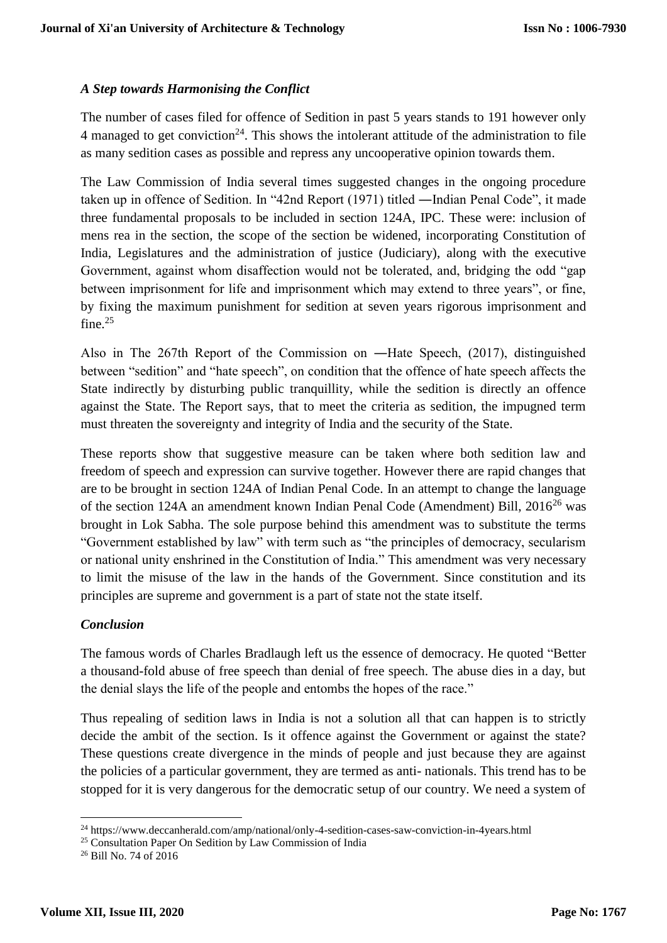### *A Step towards Harmonising the Conflict*

The number of cases filed for offence of Sedition in past 5 years stands to 191 however only 4 managed to get conviction<sup>24</sup>. This shows the intolerant attitude of the administration to file as many sedition cases as possible and repress any uncooperative opinion towards them.

The Law Commission of India several times suggested changes in the ongoing procedure taken up in offence of Sedition. In "42nd Report (1971) titled ―Indian Penal Code", it made three fundamental proposals to be included in section 124A, IPC. These were: inclusion of mens rea in the section, the scope of the section be widened, incorporating Constitution of India, Legislatures and the administration of justice (Judiciary), along with the executive Government, against whom disaffection would not be tolerated, and, bridging the odd "gap between imprisonment for life and imprisonment which may extend to three years", or fine, by fixing the maximum punishment for sedition at seven years rigorous imprisonment and fine.<sup>25</sup>

Also in The 267th Report of the Commission on ―Hate Speech, (2017), distinguished between "sedition" and "hate speech", on condition that the offence of hate speech affects the State indirectly by disturbing public tranquillity, while the sedition is directly an offence against the State. The Report says, that to meet the criteria as sedition, the impugned term must threaten the sovereignty and integrity of India and the security of the State.

These reports show that suggestive measure can be taken where both sedition law and freedom of speech and expression can survive together. However there are rapid changes that are to be brought in section 124A of Indian Penal Code. In an attempt to change the language of the section 124A an amendment known Indian Penal Code (Amendment) Bill, 2016<sup>26</sup> was brought in Lok Sabha. The sole purpose behind this amendment was to substitute the terms "Government established by law" with term such as "the principles of democracy, secularism or national unity enshrined in the Constitution of India." This amendment was very necessary to limit the misuse of the law in the hands of the Government. Since constitution and its principles are supreme and government is a part of state not the state itself.

#### *Conclusion*

The famous words of Charles Bradlaugh left us the essence of democracy. He quoted "Better a thousand-fold abuse of free speech than denial of free speech. The abuse dies in a day, but the denial slays the life of the people and entombs the hopes of the race."

Thus repealing of sedition laws in India is not a solution all that can happen is to strictly decide the ambit of the section. Is it offence against the Government or against the state? These questions create divergence in the minds of people and just because they are against the policies of a particular government, they are termed as anti- nationals. This trend has to be stopped for it is very dangerous for the democratic setup of our country. We need a system of

1

<sup>24</sup> https://www.deccanherald.com/amp/national/only-4-sedition-cases-saw-conviction-in-4years.html

 $25$  Consultation Paper On Sedition by Law Commission of India

 $26$  Bill No. 74 of  $2016$